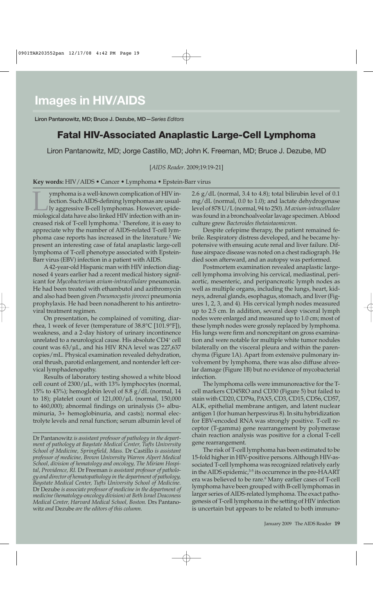**Liron Pantanowitz, MD; Bruce J. Dezube, MD—***Series Editors*

## **Fatal HIV-Associated Anaplastic Large-Cell Lymphoma**

Liron Pantanowitz, MD; Jorge Castillo, MD; John K. Freeman, MD; Bruce J. Dezube, MD

[*AIDS Reader*. 2009;19:19-21]

**Key words:** HIV/AIDS • Cancer • Lymphoma • Epstein-Barr virus

ymphoma is a well-known complication of HIV infection. Such AIDS-defining lymphomas are usual-<br>Iy aggressive B-cell lymphomas. However, epidemiological data have also linked HIV infection with an infection. Such AIDS-defining lymphomas are usually aggressive B-cell lymphomas. However, epidemiological data have also linked HIV infection with an increased risk of T-cell lymphoma.<sup>1</sup> Therefore, it is easy to appreciate why the number of AIDS-related T-cell lymphoma case reports has increased in the literature.<sup>2</sup> We present an interesting case of fatal anaplastic large-cell lymphoma of T-cell phenotype associated with Epstein-Barr virus (EBV) infection in a patient with AIDS.

A42-year-old Hispanic man with HIV infection diagnosed 4 years earlier had a recent medical history significant for *Mycobacterium avium-intracellulare* pneumonia. He had been treated with ethambutol and azithromycin and also had been given *Pneumocystis jiroveci* pneumonia prophylaxis. He had been nonadherent to his antiretroviral treatment regimen.

On presentation, he complained of vomiting, diarrhea, 1 week of fever (temperature of 38.8°C [101.9°F]), weakness, and a 2-day history of urinary incontinence unrelated to a neurological cause. His absolute CD4+ cell count was 63/µL, and his HIV RNA level was 227,637 copies/mL. Physical examination revealed dehydration, oral thrush, parotid enlargement, and nontender left cervical lymphadenopathy.

Results of laboratory testing showed a white blood cell count of  $2300/\mu L$ , with 13% lymphocytes (normal, 15% to 43%); hemoglobin level of 8.8 g/dL (normal, 14 to 18); platelet count of 121,000/µL (normal, 150,000 to 460,000); abnormal findings on urinalysis (3+ albuminuria, 3+ hemoglobinuria, and casts); normal electrolyte levels and renal function; serum albumin level of 2.6 g/dL (normal, 3.4 to 4.8); total bilirubin level of 0.1 mg/dL (normal, 0.0 to 1.0); and lactate dehydrogenase level of 878 U/L (normal, 94 to 250). *M avium-intracellulare* was found in a bronchoalveolar lavage specimen. Ablood culture grew *Bacteroides thetaiotaomicron*.

Despite cefepime therapy, the patient remained febrile. Respiratory distress developed, and he became hypotensive with ensuing acute renal and liver failure. Diffuse airspace disease was noted on a chest radiograph. He died soon afterward, and an autopsy was performed.

Postmortem examination revealed anaplastic largecell lymphoma involving his cervical, mediastinal, periaortic, mesenteric, and peripancreatic lymph nodes as well as multiple organs, including the lungs, heart, kidneys, adrenal glands, esophagus, stomach, and liver (Figures 1, 2, 3, and 4). His cervical lymph nodes measured up to 2.5 cm. In addition, several deep visceral lymph nodes were enlarged and measured up to 1.0 cm; most of these lymph nodes were grossly replaced by lymphoma. His lungs were firm and noncrepitant on gross examination and were notable for multiple white tumor nodules bilaterally on the visceral pleura and within the parenchyma (Figure 1A). Apart from extensive pulmonary involvement by lymphoma, there was also diffuse alveolar damage (Figure 1B) but no evidence of mycobacterial infection.

The lymphoma cells were immunoreactive for the Tcell markers CD45RO and CD30 (Figure 5) but failed to stain with CD20, CD79a, PAX5, CD3, CD15, CD56, CD57, ALK, epithelial membrane antigen, and latent nuclear antigen 1 (for human herpesvirus 8). In situ hybridization for EBV-encoded RNA was strongly positive. T-cell receptor (T-gamma) gene rearrangement by polymerase chain reaction analysis was positive for a clonal T-cell gene rearrangement.

The risk of T-cell lymphoma has been estimated to be 15-fold higher in HIV-positive persons. Although HIV-associated T-cell lymphoma was recognized relatively early in the AIDS epidemic, $3-5$  its occurrence in the pre-HAART era was believed to be rare.<sup>6</sup> Many earlier cases of T-cell lymphoma have been grouped with B-cell lymphomas in larger series of AIDS-related lymphoma. The exact pathogenesis of T-cell lymphoma in the setting of HIV infection is uncertain but appears to be related to both immuno-

Dr Pantanowitz *is assistant professor of pathology in the department of pathology at Baystate Medical Center, Tufts University School of Medicine, Springfield, Mass.* Dr Castillo *is assistant professor of medicine, Brown University Warren Alpert Medical School, division of hematology and oncology, The Miriam Hospital, Providence, RI.* Dr Freeman *is assistant professor of pathology and director of hematopathology in the department of pathology, Baystate Medical Center, Tufts University School of Medicine.*  Dr Dezube *is associate professor of medicine in the department of medicine (hematology-oncology division) at Beth Israel Deaconess Medical Center, Harvard Medical School, Boston.* Drs Pantanowitz *and* Dezube *are the editors of this column.*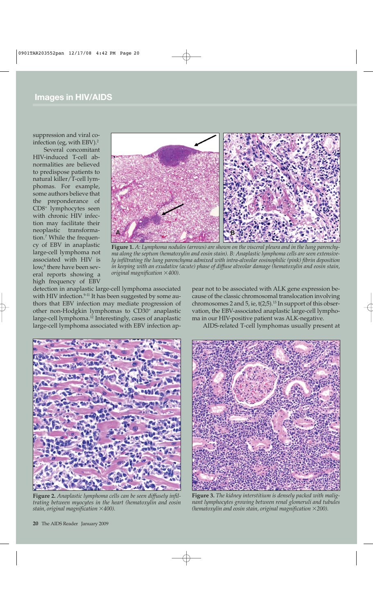suppression and viral coinfection (eg, with EBV).2

Several concomitant HIV-induced T-cell abnormalities are believed to predispose patients to natural killer/T-cell lymphomas. For example, some authors believe that the preponderance of CD8+ lymphocytes seen with chronic HIV infection may facilitate their neoplastic transformation.7 While the frequency of EBV in anaplastic large-cell lymphoma not associated with HIV is low,<sup>8</sup> there have been several reports showing a high frequency of EBV



**Figure 1.** *A: Lymphoma nodules (arrows) are shown on the visceral pleura and in the lung parenchyma along the septum (hematoxylin and eosin stain). B: Anaplastic lymphoma cells are seen extensively infiltrating the lung parenchyma admixed with intra-alveolar eosinophilic (pink) fibrin deposition in keeping with an exudative (acute) phase of diffuse alveolar damage (hematoxylin and eosin stain, original magnification 400).*

detection in anaplastic large-cell lymphoma associated with HIV infection.<sup>9-11</sup> It has been suggested by some authors that EBV infection may mediate progression of other non-Hodgkin lymphomas to CD30+ anaplastic large-cell lymphoma.12 Interestingly, cases of anaplastic large-cell lymphoma associated with EBV infection appear not to be associated with ALK gene expression because of the classic chromosomal translocation involving chromosomes 2 and 5, ie,  $t(2,5)$ .<sup>13</sup> In support of this observation, the EBV-associated anaplastic large-cell lymphoma in our HIV-positive patient was ALK-negative.

AIDS-related T-cell lymphomas usually present at



**Figure 2.** *Anaplastic lymphoma cells can be seen diffusely infiltrating between myocytes in the heart (hematoxylin and eosin stain, original magnification 400).*



**Figure 3.** *The kidney interstitium is densely packed with malignant lymphocytes growing between renal glomeruli and tubules (hematoxylin and eosin stain, original magnification 200).*